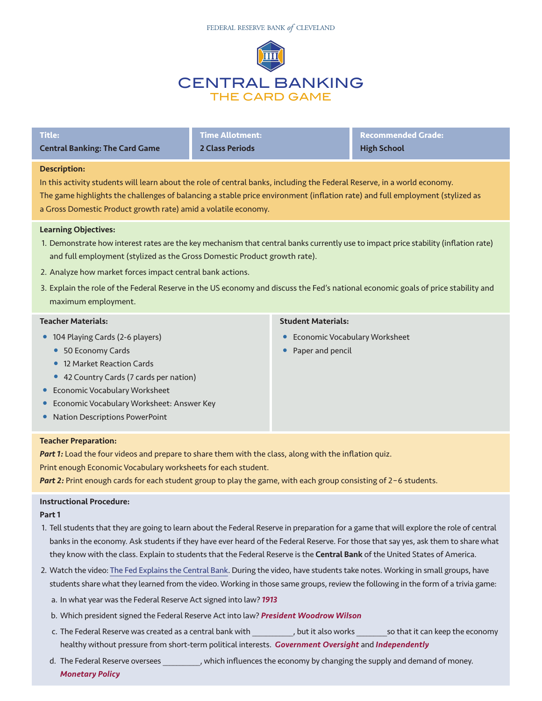



| $\blacksquare$ Title: $\blacksquare$ | <b>Time Allotment:</b> | <b>Recommended Grade:</b> |
|--------------------------------------|------------------------|---------------------------|
| Central Banking: The Card Game       | <b>2 Class Periods</b> | <b>High School</b>        |

### Description:

In this activity students will learn about the role of central banks, including the Federal Reserve, in a world economy. The game highlights the challenges of balancing a stable price environment (inflation rate) and full employment (stylized as a Gross Domestic Product growth rate) amid a volatile economy.

### Learning Objectives:

- 1. Demonstrate how interest rates are the key mechanism that central banks currently use to impact price stability (inflation rate) and full employment (stylized as the Gross Domestic Product growth rate).
- 2. Analyze how market forces impact central bank actions.
- 3. Explain the role of the Federal Reserve in the US economy and discuss the Fed's national economic goals of price stability and maximum employment.

## Teacher Materials:

- 104 Playing Cards (2-6 players)
	- 50 Economy Cards
	- 12 Market Reaction Cards
	- 42 Country Cards (7 cards per nation)
- Economic Vocabulary Worksheet
- Economic Vocabulary Worksheet: Answer Key
- Nation Descriptions PowerPoint

### Teacher Preparation:

Part 1: Load the four videos and prepare to share them with the class, along with the inflation quiz.

Print enough Economic Vocabulary worksheets for each student.

*Part 2:* Print enough cards for each student group to play the game, with each group consisting of 2–6 students.

# Instructional Procedure:

### Part 1

- 1. Tell students that they are going to learn about the Federal Reserve in preparation for a game that will explore the role of central banks in the economy. Ask students if they have ever heard of the Federal Reserve. For those that say yes, ask them to share what they know with the class. Explain to students that the Federal Reserve is the Central Bank of the United States of America.
- 2. Watch the video[: The Fed Explains the Central Bank.](www.atlantafed.org/about/fed-explained/2013/central-bank.aspx) During the video, have students take notes. Working in small groups, have students share what they learned from the video. Working in those same groups, review the following in the form of a trivia game:
	- a. In what year was the Federal Reserve Act signed into law? *1913*
	- b. Which president signed the Federal Reserve Act into law? *President Woodrow Wilson*
	- c. The Federal Reserve was created as a central bank with \_\_\_\_\_\_\_\_\_\_\_\_, but it also works \_\_\_\_\_\_\_\_\_so that it can keep the economy healthy without pressure from short-term political interests. *Government Oversight* and *Independently*
	- d. The Federal Reserve oversees \_\_\_\_\_\_\_\_, which influences the economy by changing the supply and demand of money. *Monetary Policy*

#### Student Materials:

- Economic Vocabulary Worksheet
- Paper and pencil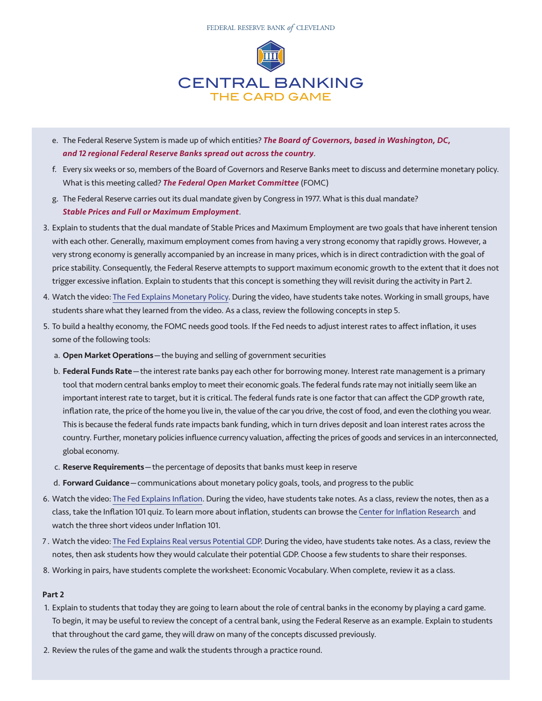

- e. The Federal Reserve System is made up of which entities? *The Board of Governors, based in Washington, DC, and 12 regional Federal Reserve Banks spread out across the country*.
- f. Every six weeks or so, members of the Board of Governors and Reserve Banks meet to discuss and determine monetary policy. What is this meeting called? *The Federal Open Market Committee* (FOMC)
- g. The Federal Reserve carries out its dual mandate given by Congress in 1977. What is this dual mandate? *Stable Prices and Full or Maximum Employment*.
- 3. Explain to students that the dual mandate of Stable Prices and Maximum Employment are two goals that have inherent tension with each other. Generally, maximum employment comes from having a very strong economy that rapidly grows. However, a very strong economy is generally accompanied by an increase in many prices, which is in direct contradiction with the goal of price stability. Consequently, the Federal Reserve attempts to support maximum economic growth to the extent that it does not trigger excessive inflation. Explain to students that this concept is something they will revisit during the activity in Part 2.
- 4. Watch the video[: The Fed Explains Monetary Policy.](www.atlantafed.org/about/fed-explained/2016/monetary-policy.aspx) During the video, have students take notes. Working in small groups, have students share what they learned from the video. As a class, review the following concepts in step 5.
- 5. To build a healthy economy, the FOMC needs good tools. If the Fed needs to adjust interest rates to affect inflation, it uses some of the following tools:
	- a. Open Market Operations the buying and selling of government securities
	- b. Federal Funds Rate—the interest rate banks pay each other for borrowing money. Interest rate management is a primary tool that modern central banks employ to meet their economic goals. The federal funds rate may not initially seem like an important interest rate to target, but it is critical. The federal funds rate is one factor that can affect the GDP growth rate, inflation rate, the price of the home you live in, the value of the car you drive, the cost of food, and even the clothing you wear. This is because the federal funds rate impacts bank funding, which in turn drives deposit and loan interest rates across the country. Further, monetary policies influence currency valuation, affecting the prices of goods and services in an interconnected, global economy.
	- c. Reserve Requirements—the percentage of deposits that banks must keep in reserve
	- d. Forward Guidance communications about monetary policy goals, tools, and progress to the public
- 6. Watch the video: [The Fed Explains Inflation](www.atlantafed.org/about/fed-explained/2012/inflation.aspx). During the video, have students take notes. As a class, review the notes, then as a class, take the Inflation 101 quiz. To learn more about inflation, students can browse the [Center for Inflation Research](www.clevelandfed.org/en/our-research/center-for-inflation-research.aspx) and watch the three short videos under Inflation 101.
- 7 . Watch the video: [The Fed Explains Real versus Potential GDP. D](www.atlantafed.org/about/fed-explained/2012/gdp.aspx)uring the video, have students take notes. As a class, review the notes, then ask students how they would calculate their potential GDP. Choose a few students to share their responses.
- 8. Working in pairs, have students complete the worksheet: Economic Vocabulary. When complete, review it as a class.

## Part 2

- 1. Explain to students that today they are going to learn about the role of central banks in the economy by playing a card game. To begin, it may be useful to review the concept of a central bank, using the Federal Reserve as an example. Explain to students that throughout the card game, they will draw on many of the concepts discussed previously.
- 2. Review the rules of the game and walk the students through a practice round.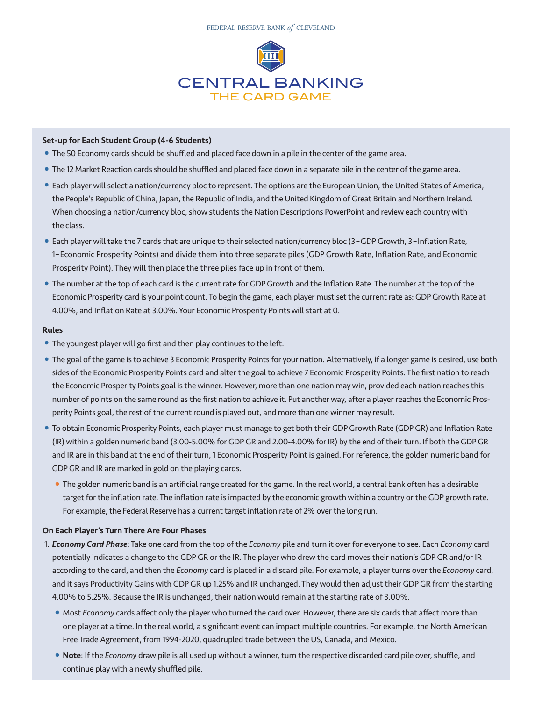

# Set-up for Each Student Group (4-6 Students)

- The 50 Economy cards should be shuffled and placed face down in a pile in the center of the game area.
- The 12 Market Reaction cards should be shuffled and placed face down in a separate pile in the center of the game area.
- Each player will select a nation/currency bloc to represent. The options are the European Union, the United States of America, the People's Republic of China, Japan, the Republic of India, and the United Kingdom of Great Britain and Northern Ireland. When choosing a nation/currency bloc, show students the Nation Descriptions PowerPoint and review each country with the class.
- Each player will take the 7 cards that are unique to their selected nation/currency bloc (3–GDP Growth, 3–Inflation Rate, 1–Economic Prosperity Points) and divide them into three separate piles (GDP Growth Rate, Inflation Rate, and Economic Prosperity Point). They will then place the three piles face up in front of them.
- The number at the top of each card is the current rate for GDP Growth and the Inflation Rate. The number at the top of the Economic Prosperity card is your point count. To begin the game, each player must set the current rate as: GDP Growth Rate at 4.00%, and Inflation Rate at 3.00%. Your Economic Prosperity Points will start at 0.

### Rules

- The youngest player will go first and then play continues to the left.
- The goal of the game is to achieve 3 Economic Prosperity Points for your nation. Alternatively, if a longer game is desired, use both sides of the Economic Prosperity Points card and alter the goal to achieve 7 Economic Prosperity Points. The first nation to reach the Economic Prosperity Points goal is the winner. However, more than one nation may win, provided each nation reaches this number of points on the same round as the first nation to achieve it. Put another way, after a player reaches the Economic Prosperity Points goal, the rest of the current round is played out, and more than one winner may result.
- To obtain Economic Prosperity Points, each player must manage to get both their GDP Growth Rate (GDP GR) and Inflation Rate (IR) within a golden numeric band (3.00-5.00% for GDP GR and 2.00-4.00% for IR) by the end of their turn. If both the GDP GR and IR are in this band at the end of their turn, 1 Economic Prosperity Point is gained. For reference, the golden numeric band for GDP GR and IR are marked in gold on the playing cards.
	- The golden numeric band is an artificial range created for the game. In the real world, a central bank often has a desirable target for the inflation rate. The inflation rate is impacted by the economic growth within a country or the GDP growth rate. For example, the Federal Reserve has a current target inflation rate of 2% over the long run.

## On Each Player's Turn There Are Four Phases

- 1. *Economy Card Phase*: Take one card from the top of the *Economy* pile and turn it over for everyone to see. Each *Economy* card potentially indicates a change to the GDP GR or the IR. The player who drew the card moves their nation's GDP GR and/or IR according to the card, and then the *Economy* card is placed in a discard pile. For example, a player turns over the *Economy* card, and it says Productivity Gains with GDP GR up 1.25% and IR unchanged. They would then adjust their GDP GR from the starting 4.00% to 5.25%. Because the IR is unchanged, their nation would remain at the starting rate of 3.00%.
	- Most *Economy* cards affect only the player who turned the card over. However, there are six cards that affect more than one player at a time. In the real world, a significant event can impact multiple countries. For example, the North American Free Trade Agreement, from 1994-2020, quadrupled trade between the US, Canada, and Mexico.
	- Note: If the *Economy* draw pile is all used up without a winner, turn the respective discarded card pile over, shuffle, and continue play with a newly shuffled pile.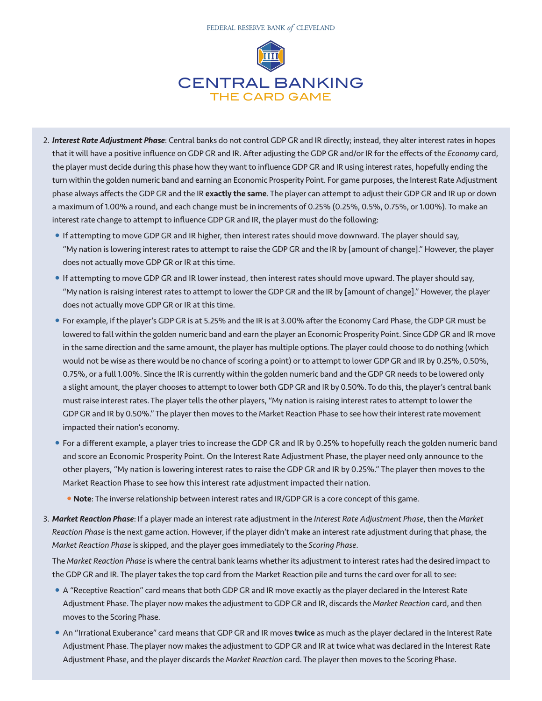

- 2. *Interest Rate Adjustment Phase*: Central banks do not control GDP GR and IR directly; instead, they alter interest rates in hopes that it will have a positive influence on GDP GR and IR. After adjusting the GDP GR and/or IR for the effects of the *Economy* card, the player must decide during this phase how they want to influence GDP GR and IR using interest rates, hopefully ending the turn within the golden numeric band and earning an Economic Prosperity Point. For game purposes, the Interest Rate Adjustment phase always affects the GDP GR and the IR exactly the same. The player can attempt to adjust their GDP GR and IR up or down a maximum of 1.00% a round, and each change must be in increments of 0.25% (0.25%, 0.5%, 0.75%, or 1.00%). To make an interest rate change to attempt to influence GDP GR and IR, the player must do the following:
	- If attempting to move GDP GR and IR higher, then interest rates should move downward. The player should say, "My nation is lowering interest rates to attempt to raise the GDP GR and the IR by [amount of change]." However, the player does not actually move GDP GR or IR at this time.
	- If attempting to move GDP GR and IR lower instead, then interest rates should move upward. The player should say, "My nation is raising interest rates to attempt to lower the GDP GR and the IR by [amount of change]." However, the player does not actually move GDP GR or IR at this time.
	- For example, if the player's GDP GR is at 5.25% and the IR is at 3.00% after the Economy Card Phase, the GDP GR must be lowered to fall within the golden numeric band and earn the player an Economic Prosperity Point. Since GDP GR and IR move in the same direction and the same amount, the player has multiple options. The player could choose to do nothing (which would not be wise as there would be no chance of scoring a point) or to attempt to lower GDP GR and IR by 0.25%, 0.50%, 0.75%, or a full 1.00%. Since the IR is currently within the golden numeric band and the GDP GR needs to be lowered only a slight amount, the player chooses to attempt to lower both GDP GR and IR by 0.50%. To do this, the player's central bank must raise interest rates. The player tells the other players, "My nation is raising interest rates to attempt to lower the GDP GR and IR by 0.50%." The player then moves to the Market Reaction Phase to see how their interest rate movement impacted their nation's economy.
	- For a different example, a player tries to increase the GDP GR and IR by 0.25% to hopefully reach the golden numeric band and score an Economic Prosperity Point. On the Interest Rate Adjustment Phase, the player need only announce to the other players, "My nation is lowering interest rates to raise the GDP GR and IR by 0.25%." The player then moves to the Market Reaction Phase to see how this interest rate adjustment impacted their nation.
		- Note: The inverse relationship between interest rates and IR/GDP GR is a core concept of this game.
- 3. *Market Reaction Phase*: If a player made an interest rate adjustment in the *Interest Rate Adjustment Phase*, then the *Market Reaction Phase* is the next game action. However, if the player didn't make an interest rate adjustment during that phase, the *Market Reaction Phase* is skipped, and the player goes immediately to the *Scoring Phase*.

 The *Market Reaction Phase* is where the central bank learns whether its adjustment to interest rates had the desired impact to the GDP GR and IR. The player takes the top card from the Market Reaction pile and turns the card over for all to see:

- A "Receptive Reaction" card means that both GDP GR and IR move exactly as the player declared in the Interest Rate Adjustment Phase. The player now makes the adjustment to GDP GR and IR, discards the *Market Reaction* card, and then moves to the Scoring Phase.
- An "Irrational Exuberance" card means that GDP GR and IR moves twice as much as the player declared in the Interest Rate Adjustment Phase. The player now makes the adjustment to GDP GR and IR at twice what was declared in the Interest Rate Adjustment Phase, and the player discards the *Market Reaction* card. The player then moves to the Scoring Phase.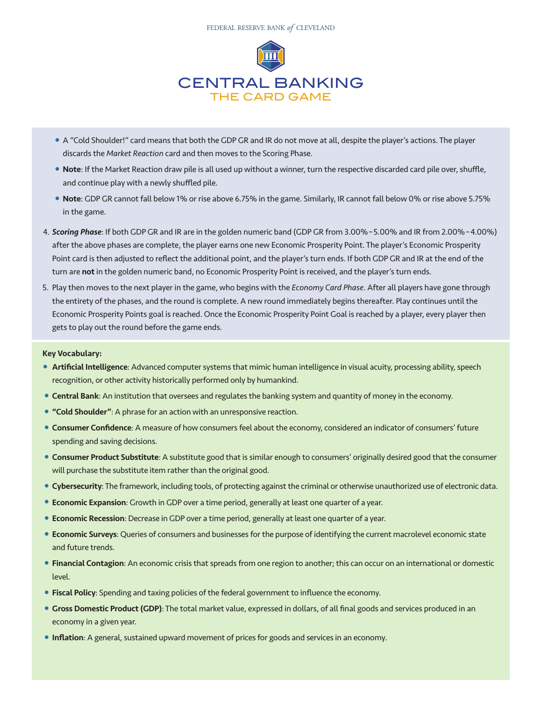

- A "Cold Shoulder!" card means that both the GDP GR and IR do not move at all, despite the player's actions. The player discards the *Market Reaction* card and then moves to the Scoring Phase.
- Note: If the Market Reaction draw pile is all used up without a winner, turn the respective discarded card pile over, shuffle, and continue play with a newly shuffled pile.
- Note: GDP GR cannot fall below 1% or rise above 6.75% in the game. Similarly, IR cannot fall below 0% or rise above 5.75% in the game.
- 4. *Scoring Phase*: If both GDP GR and IR are in the golden numeric band (GDP GR from 3.00%–5.00% and IR from 2.00%–4.00%) after the above phases are complete, the player earns one new Economic Prosperity Point. The player's Economic Prosperity Point card is then adjusted to reflect the additional point, and the player's turn ends. If both GDP GR and IR at the end of the turn are not in the golden numeric band, no Economic Prosperity Point is received, and the player's turn ends.
- 5.Play then moves to the next player in the game, who begins with the *Economy Card Phase*. After all players have gone through the entirety of the phases, and the round is complete. A new round immediately begins thereafter. Play continues until the Economic Prosperity Points goal is reached. Once the Economic Prosperity Point Goal is reached by a player, every player then gets to play out the round before the game ends.

### Key Vocabulary:

- Artificial Intelligence: Advanced computer systems that mimic human intelligence in visual acuity, processing ability, speech recognition, or other activity historically performed only by humankind.
- **Central Bank**: An institution that oversees and regulates the banking system and quantity of money in the economy.
- "Cold Shoulder": A phrase for an action with an unresponsive reaction.
- **Consumer Confidence**: A measure of how consumers feel about the economy, considered an indicator of consumers' future spending and saving decisions.
- **Consumer Product Substitute**: A substitute good that is similar enough to consumers' originally desired good that the consumer will purchase the substitute item rather than the original good.
- Cybersecurity: The framework, including tools, of protecting against the criminal or otherwise unauthorized use of electronic data.
- Economic Expansion: Growth in GDP over a time period, generally at least one quarter of a year.
- Economic Recession: Decrease in GDP over a time period, generally at least one quarter of a year.
- Economic Surveys: Queries of consumers and businesses for the purpose of identifying the current macrolevel economic state and future trends.
- **Financial Contagion**: An economic crisis that spreads from one region to another; this can occur on an international or domestic level.
- **Fiscal Policy**: Spending and taxing policies of the federal government to influence the economy.
- Gross Domestic Product (GDP): The total market value, expressed in dollars, of all final goods and services produced in an economy in a given year.
- **Inflation**: A general, sustained upward movement of prices for goods and services in an economy.